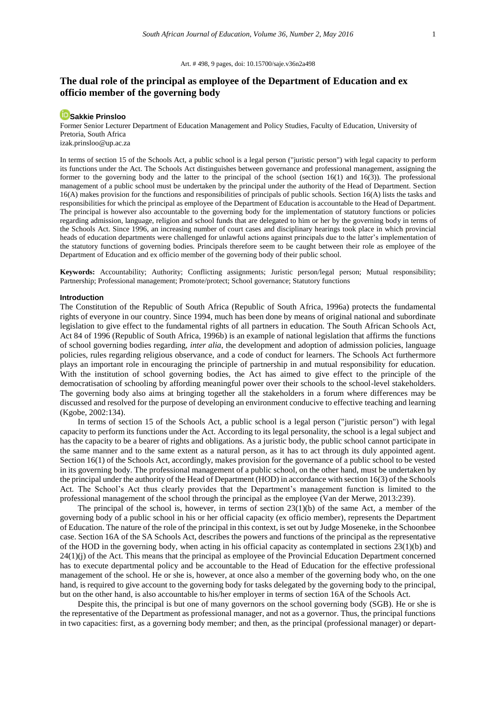#### Art. # 498, 9 pages, doi: 10.15700/saje.v36n2a498

# **The dual role of the principal as employee of the Department of Education and ex officio member of the governing body**

# **[Sakkie Prinsloo](http://orcid.org/0000-0002-9495-8791)**

Former Senior Lecturer Department of Education Management and Policy Studies, Faculty of Education, University of Pretoria, South Africa izak.prinsloo@up.ac.za

In terms of section 15 of the Schools Act, a public school is a legal person ("juristic person") with legal capacity to perform its functions under the Act. The Schools Act distinguishes between governance and professional management, assigning the former to the governing body and the latter to the principal of the school (section 16(1) and 16(3)). The professional management of a public school must be undertaken by the principal under the authority of the Head of Department. Section 16(A) makes provision for the functions and responsibilities of principals of public schools. Section 16(A) lists the tasks and responsibilities for which the principal as employee of the Department of Education is accountable to the Head of Department. The principal is however also accountable to the governing body for the implementation of statutory functions or policies regarding admission, language, religion and school funds that are delegated to him or her by the governing body in terms of the Schools Act. Since 1996, an increasing number of court cases and disciplinary hearings took place in which provincial heads of education departments were challenged for unlawful actions against principals due to the latter's implementation of the statutory functions of governing bodies. Principals therefore seem to be caught between their role as employee of the Department of Education and ex officio member of the governing body of their public school.

**Keywords:** Accountability; Authority; Conflicting assignments; Juristic person/legal person; Mutual responsibility; Partnership; Professional management; Promote/protect; School governance; Statutory functions

#### **Introduction**

The Constitution of the Republic of South Africa (Republic of South Africa, 1996a) protects the fundamental rights of everyone in our country. Since 1994, much has been done by means of original national and subordinate legislation to give effect to the fundamental rights of all partners in education. The South African Schools Act, Act 84 of 1996 (Republic of South Africa, 1996b) is an example of national legislation that affirms the functions of school governing bodies regarding, *inter alia*, the development and adoption of admission policies, language policies, rules regarding religious observance, and a code of conduct for learners. The Schools Act furthermore plays an important role in encouraging the principle of partnership in and mutual responsibility for education. With the institution of school governing bodies, the Act has aimed to give effect to the principle of the democratisation of schooling by affording meaningful power over their schools to the school-level stakeholders. The governing body also aims at bringing together all the stakeholders in a forum where differences may be discussed and resolved for the purpose of developing an environment conducive to effective teaching and learning (Kgobe, 2002:134).

In terms of section 15 of the Schools Act, a public school is a legal person ("juristic person") with legal capacity to perform its functions under the Act. According to its legal personality, the school is a legal subject and has the capacity to be a bearer of rights and obligations. As a juristic body, the public school cannot participate in the same manner and to the same extent as a natural person, as it has to act through its duly appointed agent. Section 16(1) of the Schools Act, accordingly, makes provision for the governance of a public school to be vested in its governing body. The professional management of a public school, on the other hand, must be undertaken by the principal under the authority of the Head of Department (HOD) in accordance with section 16(3) of the Schools Act. The School's Act thus clearly provides that the Department's management function is limited to the professional management of the school through the principal as the employee (Van der Merwe, 2013:239).

The principal of the school is, however, in terms of section  $23(1)(b)$  of the same Act, a member of the governing body of a public school in his or her official capacity (ex officio member), represents the Department of Education. The nature of the role of the principal in this context, is set out by Judge Moseneke, in the Schoonbee case. Section 16A of the SA Schools Act, describes the powers and functions of the principal as the representative of the HOD in the governing body, when acting in his official capacity as contemplated in sections 23(1)(b) and  $24(1)(j)$  of the Act. This means that the principal as employee of the Provincial Education Department concerned has to execute departmental policy and be accountable to the Head of Education for the effective professional management of the school. He or she is, however, at once also a member of the governing body who, on the one hand, is required to give account to the governing body for tasks delegated by the governing body to the principal, but on the other hand, is also accountable to his/her employer in terms of section 16A of the Schools Act.

Despite this, the principal is but one of many governors on the school governing body (SGB). He or she is the representative of the Department as professional manager, and not as a governor. Thus, the principal functions in two capacities: first, as a governing body member; and then, as the principal (professional manager) or depart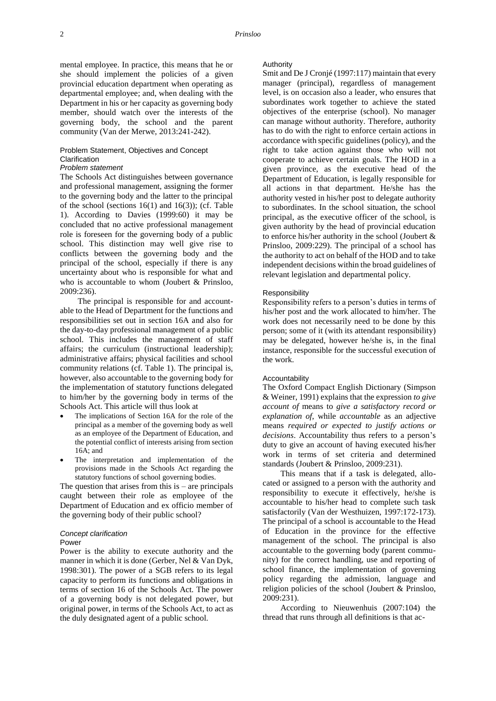mental employee. In practice, this means that he or she should implement the policies of a given provincial education department when operating as departmental employee; and, when dealing with the Department in his or her capacity as governing body member, should watch over the interests of the governing body, the school and the parent community (Van der Merwe, 2013:241-242).

#### Problem Statement, Objectives and Concept Clarification

# *Problem statement*

The Schools Act distinguishes between governance and professional management, assigning the former to the governing body and the latter to the principal of the school (sections  $16(1)$  and  $16(3)$ ); (cf. Table 1). According to Davies (1999:60) it may be concluded that no active professional management role is foreseen for the governing body of a public school. This distinction may well give rise to conflicts between the governing body and the principal of the school, especially if there is any uncertainty about who is responsible for what and who is accountable to whom (Joubert & Prinsloo, 2009:236).

The principal is responsible for and accountable to the Head of Department for the functions and responsibilities set out in section 16A and also for the day-to-day professional management of a public school. This includes the management of staff affairs; the curriculum (instructional leadership); administrative affairs; physical facilities and school community relations (cf. Table 1). The principal is, however, also accountable to the governing body for the implementation of statutory functions delegated to him/her by the governing body in terms of the Schools Act. This article will thus look at

- The implications of Section 16A for the role of the principal as a member of the governing body as well as an employee of the Department of Education, and the potential conflict of interests arising from section 16A; and
- The interpretation and implementation of the provisions made in the Schools Act regarding the statutory functions of school governing bodies.

The question that arises from this  $is - are principal$ caught between their role as employee of the Department of Education and ex officio member of the governing body of their public school?

# *Concept clarification*

## Power

Power is the ability to execute authority and the manner in which it is done (Gerber, Nel & Van Dyk, 1998:301). The power of a SGB refers to its legal capacity to perform its functions and obligations in terms of section 16 of the Schools Act. The power of a governing body is not delegated power, but original power, in terms of the Schools Act, to act as the duly designated agent of a public school.

#### Authority

Smit and De J Cronjé (1997:117) maintain that every manager (principal), regardless of management level, is on occasion also a leader, who ensures that subordinates work together to achieve the stated objectives of the enterprise (school). No manager can manage without authority. Therefore, authority has to do with the right to enforce certain actions in accordance with specific guidelines (policy), and the right to take action against those who will not cooperate to achieve certain goals. The HOD in a given province, as the executive head of the Department of Education, is legally responsible for all actions in that department. He/she has the authority vested in his/her post to delegate authority to subordinates. In the school situation, the school principal, as the executive officer of the school, is given authority by the head of provincial education to enforce his/her authority in the school (Joubert & Prinsloo, 2009:229). The principal of a school has the authority to act on behalf of the HOD and to take independent decisions within the broad guidelines of relevant legislation and departmental policy.

#### Responsibility

Responsibility refers to a person's duties in terms of his/her post and the work allocated to him/her. The work does not necessarily need to be done by this person; some of it (with its attendant responsibility) may be delegated, however he/she is, in the final instance, responsible for the successful execution of the work.

#### Accountability

The Oxford Compact English Dictionary (Simpson & Weiner, 1991) explains that the expression *to give account of* means to *give a satisfactory record or explanation of*, while *accountable* as an adjective means *required or expected to justify actions or decisions*. Accountability thus refers to a person's duty to give an account of having executed his/her work in terms of set criteria and determined standards (Joubert & Prinsloo, 2009:231).

This means that if a task is delegated, allocated or assigned to a person with the authority and responsibility to execute it effectively, he/she is accountable to his/her head to complete such task satisfactorily (Van der Westhuizen, 1997:172-173). The principal of a school is accountable to the Head of Education in the province for the effective management of the school. The principal is also accountable to the governing body (parent community) for the correct handling, use and reporting of school finance, the implementation of governing policy regarding the admission, language and religion policies of the school (Joubert & Prinsloo, 2009:231).

According to Nieuwenhuis (2007:104) the thread that runs through all definitions is that ac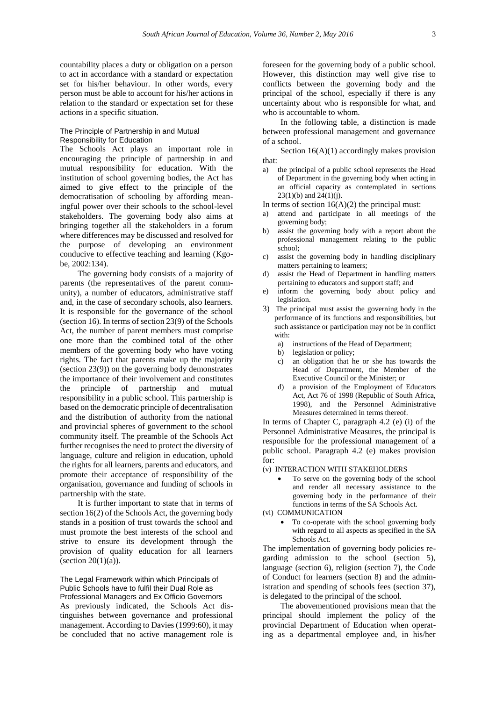countability places a duty or obligation on a person to act in accordance with a standard or expectation set for his/her behaviour. In other words, every person must be able to account for his/her actions in relation to the standard or expectation set for these actions in a specific situation.

#### The Principle of Partnership in and Mutual Responsibility for Education

The Schools Act plays an important role in encouraging the principle of partnership in and mutual responsibility for education. With the institution of school governing bodies, the Act has aimed to give effect to the principle of the democratisation of schooling by affording meaningful power over their schools to the school-level stakeholders. The governing body also aims at bringing together all the stakeholders in a forum where differences may be discussed and resolved for the purpose of developing an environment conducive to effective teaching and learning (Kgobe, 2002:134).

The governing body consists of a majority of parents (the representatives of the parent community), a number of educators, administrative staff and, in the case of secondary schools, also learners. It is responsible for the governance of the school (section 16). In terms of section 23(9) of the Schools Act, the number of parent members must comprise one more than the combined total of the other members of the governing body who have voting rights. The fact that parents make up the majority (section 23(9)) on the governing body demonstrates the importance of their involvement and constitutes the principle of partnership and mutual responsibility in a public school. This partnership is based on the democratic principle of decentralisation and the distribution of authority from the national and provincial spheres of government to the school community itself. The preamble of the Schools Act further recognises the need to protect the diversity of language, culture and religion in education, uphold the rights for all learners, parents and educators, and promote their acceptance of responsibility of the organisation, governance and funding of schools in partnership with the state.

It is further important to state that in terms of section 16(2) of the Schools Act, the governing body stands in a position of trust towards the school and must promote the best interests of the school and strive to ensure its development through the provision of quality education for all learners (section  $20(1)(a)$ ).

The Legal Framework within which Principals of Public Schools have to fulfil their Dual Role as Professional Managers and Ex Officio Governors As previously indicated, the Schools Act distinguishes between governance and professional management. According to Davies (1999:60), it may be concluded that no active management role is

foreseen for the governing body of a public school. However, this distinction may well give rise to conflicts between the governing body and the principal of the school, especially if there is any uncertainty about who is responsible for what, and who is accountable to whom.

In the following table, a distinction is made between professional management and governance of a school.

Section 16(A)(1) accordingly makes provision that:

a) the principal of a public school represents the Head of Department in the governing body when acting in an official capacity as contemplated in sections  $23(1)(b)$  and  $24(1)(j)$ .

In terms of section  $16(A)(2)$  the principal must:

- a) attend and participate in all meetings of the governing body;
- b) assist the governing body with a report about the professional management relating to the public school;
- c) assist the governing body in handling disciplinary matters pertaining to learners;
- d) assist the Head of Department in handling matters pertaining to educators and support staff; and
- e) inform the governing body about policy and legislation.
- 3) The principal must assist the governing body in the performance of its functions and responsibilities, but such assistance or participation may not be in conflict with:
	- a) instructions of the Head of Department;
	- b) legislation or policy;
	- c) an obligation that he or she has towards the Head of Department, the Member of the Executive Council or the Minister; or
	- d) a provision of the Employment of Educators Act, Act 76 of 1998 (Republic of South Africa, 1998), and the Personnel Administrative Measures determined in terms thereof.

In terms of Chapter C, paragraph 4.2 (e) (i) of the Personnel Administrative Measures, the principal is responsible for the professional management of a public school. Paragraph 4.2 (e) makes provision for:

(v) INTERACTION WITH STAKEHOLDERS

 To serve on the governing body of the school and render all necessary assistance to the governing body in the performance of their functions in terms of the SA Schools Act.

(vi) COMMUNICATION

• To co-operate with the school governing body with regard to all aspects as specified in the SA Schools Act.

The implementation of governing body policies regarding admission to the school (section 5), language (section 6), religion (section 7), the Code of Conduct for learners (section 8) and the administration and spending of schools fees (section 37), is delegated to the principal of the school.

The abovementioned provisions mean that the principal should implement the policy of the provincial Department of Education when operating as a departmental employee and, in his/her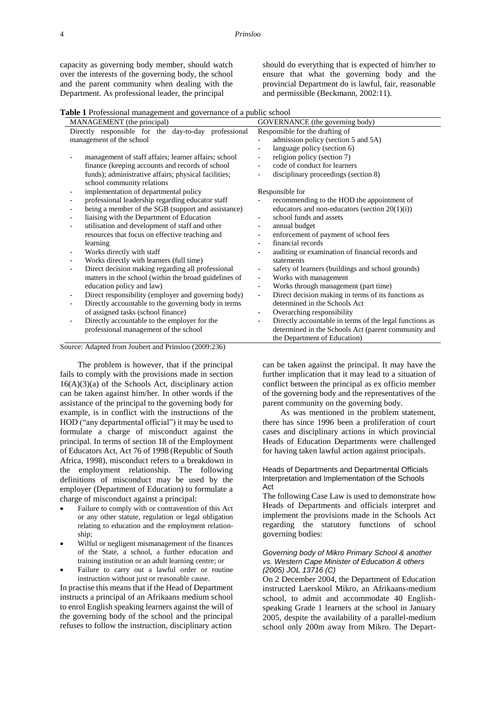capacity as governing body member, should watch over the interests of the governing body, the school and the parent community when dealing with the Department. As professional leader, the principal

should do everything that is expected of him/her to ensure that what the governing body and the provincial Department do is lawful, fair, reasonable and permissible (Beckmann, 2002:11).

**Table 1** Professional management and governance of a public school

| MANAGEMENT (the principal)                           |                                                       | GOVERNANCE (the governing body) |                                                         |  |
|------------------------------------------------------|-------------------------------------------------------|---------------------------------|---------------------------------------------------------|--|
| Directly responsible for the day-to-day professional |                                                       | Responsible for the drafting of |                                                         |  |
| management of the school                             |                                                       |                                 | admission policy (section 5 and 5A)                     |  |
|                                                      |                                                       | $\overline{\phantom{0}}$        | language policy (section 6)                             |  |
|                                                      | management of staff affairs; learner affairs; school  | $\overline{\phantom{a}}$        | religion policy (section 7)                             |  |
|                                                      | finance (keeping accounts and records of school       | $\overline{\phantom{0}}$        | code of conduct for learners                            |  |
|                                                      | funds); administrative affairs; physical facilities;  |                                 | disciplinary proceedings (section 8)                    |  |
|                                                      | school community relations                            |                                 |                                                         |  |
| -                                                    | implementation of departmental policy                 |                                 | Responsible for                                         |  |
| $\overline{\phantom{0}}$                             | professional leadership regarding educator staff      |                                 | recommending to the HOD the appointment of              |  |
|                                                      | being a member of the SGB (support and assistance)    |                                 | educators and non-educators (section $20(1)(i)$ )       |  |
|                                                      | liaising with the Department of Education             | $\overline{\phantom{a}}$        | school funds and assets                                 |  |
| $\overline{\phantom{0}}$                             | utilisation and development of staff and other        | $\overline{\phantom{a}}$        | annual budget                                           |  |
|                                                      | resources that focus on effective teaching and        | $\overline{\phantom{a}}$        | enforcement of payment of school fees                   |  |
|                                                      | learning                                              | $\overline{\phantom{0}}$        | financial records                                       |  |
|                                                      | Works directly with staff                             |                                 | auditing or examination of financial records and        |  |
| $\overline{\phantom{0}}$                             | Works directly with learners (full time)              |                                 | statements                                              |  |
| $\overline{\phantom{0}}$                             | Direct decision making regarding all professional     | $\overline{\phantom{a}}$        | safety of learners (buildings and school grounds)       |  |
|                                                      | matters in the school (within the broad guidelines of | $\overline{\phantom{a}}$        | Works with management                                   |  |
|                                                      | education policy and law)                             | $\overline{\phantom{a}}$        | Works through management (part time)                    |  |
| $\overline{\phantom{0}}$                             | Direct responsibility (employer and governing body)   | $\overline{\phantom{0}}$        | Direct decision making in terms of its functions as     |  |
|                                                      | Directly accountable to the governing body in terms   |                                 | determined in the Schools Act                           |  |
|                                                      | of assigned tasks (school finance)                    | $\overline{\phantom{a}}$        | Overarching responsibility                              |  |
| $\overline{\phantom{0}}$                             | Directly accountable to the employer for the          | $\overline{\phantom{0}}$        | Directly accountable in terms of the legal functions as |  |
|                                                      | professional management of the school                 |                                 | determined in the Schools Act (parent community and     |  |
|                                                      |                                                       |                                 | the Department of Education)                            |  |
| Source: Adapted from Joubert and Prinsloo (2009:236) |                                                       |                                 |                                                         |  |

The problem is however, that if the principal fails to comply with the provisions made in section  $16(A)(3)(a)$  of the Schools Act, disciplinary action can be taken against him/her. In other words if the assistance of the principal to the governing body for example, is in conflict with the instructions of the HOD ("any departmental official") it may be used to formulate a charge of misconduct against the principal. In terms of section 18 of the Employment of Educators Act, Act 76 of 1998 (Republic of South Africa, 1998), misconduct refers to a breakdown in the employment relationship. The following definitions of misconduct may be used by the employer (Department of Education) to formulate a charge of misconduct against a principal:

- Failure to comply with or contravention of this Act or any other statute, regulation or legal obligation relating to education and the employment relationship;
- Wilful or negligent mismanagement of the finances of the State, a school, a further education and training institution or an adult learning centre; or
- Failure to carry out a lawful order or routine instruction without just or reasonable cause.

In practise this means that if the Head of Department instructs a principal of an Afrikaans medium school to enrol English speaking learners against the will of the governing body of the school and the principal refuses to follow the instruction, disciplinary action

can be taken against the principal. It may have the further implication that it may lead to a situation of conflict between the principal as ex officio member of the governing body and the representatives of the parent community on the governing body.

As was mentioned in the problem statement, there has since 1996 been a proliferation of court cases and disciplinary actions in which provincial Heads of Education Departments were challenged for having taken lawful action against principals.

Heads of Departments and Departmental Officials Interpretation and Implementation of the Schools Act

The following Case Law is used to demonstrate how Heads of Departments and officials interpret and implement the provisions made in the Schools Act regarding the statutory functions of school governing bodies:

#### *Governing body of Mikro Primary School & another vs. Western Cape Minister of Education & others (2005) JOL 13716 (C)*

On 2 December 2004, the Department of Education instructed Laerskool Mikro, an Afrikaans-medium school, to admit and accommodate 40 Englishspeaking Grade 1 learners at the school in January 2005, despite the availability of a parallel-medium school only 200m away from Mikro. The Depart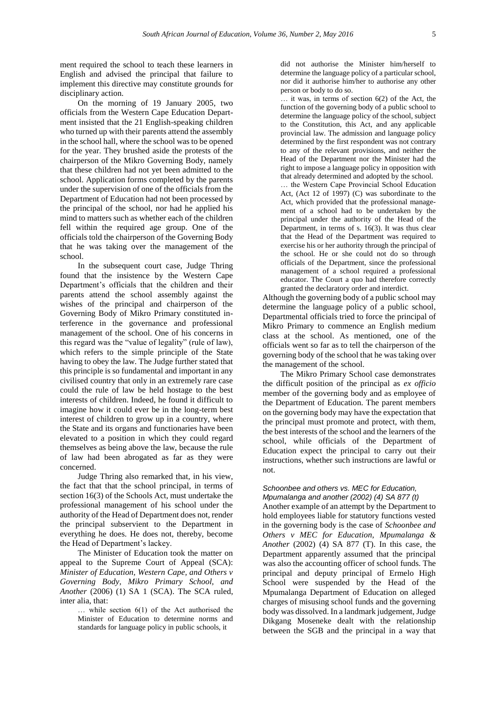ment required the school to teach these learners in English and advised the principal that failure to implement this directive may constitute grounds for disciplinary action.

On the morning of 19 January 2005, two officials from the Western Cape Education Department insisted that the 21 English-speaking children who turned up with their parents attend the assembly in the school hall, where the school was to be opened for the year. They brushed aside the protests of the chairperson of the Mikro Governing Body, namely that these children had not yet been admitted to the school. Application forms completed by the parents under the supervision of one of the officials from the Department of Education had not been processed by the principal of the school, nor had he applied his mind to matters such as whether each of the children fell within the required age group. One of the officials told the chairperson of the Governing Body that he was taking over the management of the school.

In the subsequent court case, Judge Thring found that the insistence by the Western Cape Department's officials that the children and their parents attend the school assembly against the wishes of the principal and chairperson of the Governing Body of Mikro Primary constituted interference in the governance and professional management of the school. One of his concerns in this regard was the "value of legality" (rule of law), which refers to the simple principle of the State having to obey the law. The Judge further stated that this principle is so fundamental and important in any civilised country that only in an extremely rare case could the rule of law be held hostage to the best interests of children. Indeed, he found it difficult to imagine how it could ever be in the long-term best interest of children to grow up in a country, where the State and its organs and functionaries have been elevated to a position in which they could regard themselves as being above the law, because the rule of law had been abrogated as far as they were concerned.

Judge Thring also remarked that, in his view, the fact that that the school principal, in terms of section 16(3) of the Schools Act, must undertake the professional management of his school under the authority of the Head of Department does not, render the principal subservient to the Department in everything he does. He does not, thereby, become the Head of Department's lackey.

The Minister of Education took the matter on appeal to the Supreme Court of Appeal (SCA): *Minister of Education, Western Cape, and Others v Governing Body, Mikro Primary School, and Another* (2006) (1) SA 1 (SCA). The SCA ruled, inter alia, that:

> … while section 6(1) of the Act authorised the Minister of Education to determine norms and standards for language policy in public schools, it

did not authorise the Minister him/herself to determine the language policy of a particular school, nor did it authorise him/her to authorise any other person or body to do so.

 $\therefore$  it was, in terms of section 6(2) of the Act, the function of the governing body of a public school to determine the language policy of the school, subject to the Constitution, this Act, and any applicable provincial law. The admission and language policy determined by the first respondent was not contrary to any of the relevant provisions, and neither the Head of the Department nor the Minister had the right to impose a language policy in opposition with that already determined and adopted by the school. … the Western Cape Provincial School Education Act, (Act 12 of 1997) (C) was subordinate to the Act, which provided that the professional management of a school had to be undertaken by the principal under the authority of the Head of the Department, in terms of s. 16(3). It was thus clear that the Head of the Department was required to exercise his or her authority through the principal of the school. He or she could not do so through officials of the Department, since the professional management of a school required a professional educator. The Court a quo had therefore correctly granted the declaratory order and interdict.

Although the governing body of a public school may determine the language policy of a public school, Departmental officials tried to force the principal of Mikro Primary to commence an English medium class at the school. As mentioned, one of the officials went so far as to tell the chairperson of the governing body of the school that he was taking over the management of the school.

The Mikro Primary School case demonstrates the difficult position of the principal as *ex officio* member of the governing body and as employee of the Department of Education. The parent members on the governing body may have the expectation that the principal must promote and protect, with them, the best interests of the school and the learners of the school, while officials of the Department of Education expect the principal to carry out their instructions, whether such instructions are lawful or not.

### *Schoonbee and others vs. MEC for Education, Mpumalanga and another (2002) (4) SA 877 (t)*

Another example of an attempt by the Department to hold employees liable for statutory functions vested in the governing body is the case of *Schoonbee and Others v MEC for Education, Mpumalanga & Another* (2002) (4) SA 877 (T). In this case, the Department apparently assumed that the principal was also the accounting officer of school funds. The principal and deputy principal of Ermelo High School were suspended by the Head of the Mpumalanga Department of Education on alleged charges of misusing school funds and the governing body was dissolved. In a landmark judgement, Judge Dikgang Moseneke dealt with the relationship between the SGB and the principal in a way that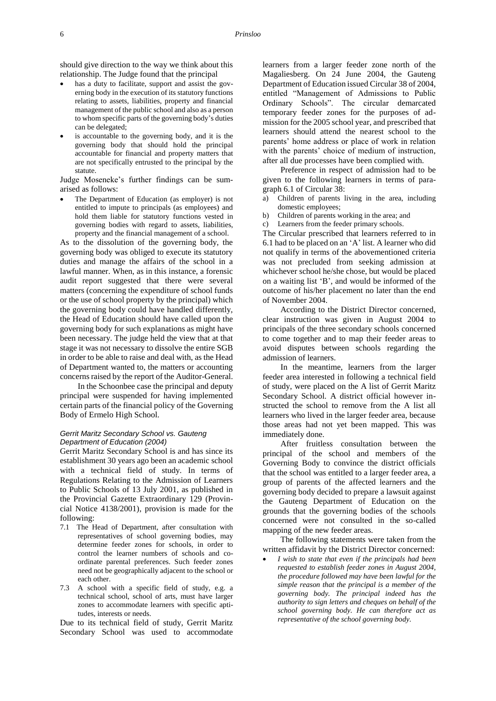should give direction to the way we think about this relationship. The Judge found that the principal

- has a duty to facilitate, support and assist the governing body in the execution of its statutory functions relating to assets, liabilities, property and financial management of the public school and also as a person to whom specific parts of the governing body's duties can be delegated;
- is accountable to the governing body, and it is the governing body that should hold the principal accountable for financial and property matters that are not specifically entrusted to the principal by the statute.

Judge Moseneke's further findings can be sumarised as follows:

 The Department of Education (as employer) is not entitled to impute to principals (as employees) and hold them liable for statutory functions vested in governing bodies with regard to assets, liabilities, property and the financial management of a school.

As to the dissolution of the governing body, the governing body was obliged to execute its statutory duties and manage the affairs of the school in a lawful manner. When, as in this instance, a forensic audit report suggested that there were several matters (concerning the expenditure of school funds or the use of school property by the principal) which the governing body could have handled differently, the Head of Education should have called upon the governing body for such explanations as might have been necessary. The judge held the view that at that stage it was not necessary to dissolve the entire SGB in order to be able to raise and deal with, as the Head of Department wanted to, the matters or accounting concerns raised by the report of the Auditor-General.

In the Schoonbee case the principal and deputy principal were suspended for having implemented certain parts of the financial policy of the Governing Body of Ermelo High School.

#### *Gerrit Maritz Secondary School vs. Gauteng Department of Education (2004)*

Gerrit Maritz Secondary School is and has since its establishment 30 years ago been an academic school with a technical field of study. In terms of Regulations Relating to the Admission of Learners to Public Schools of 13 July 2001, as published in the Provincial Gazette Extraordinary 129 (Provincial Notice 4138/2001), provision is made for the following:

- 7.1 The Head of Department, after consultation with representatives of school governing bodies, may determine feeder zones for schools, in order to control the learner numbers of schools and coordinate parental preferences. Such feeder zones need not be geographically adjacent to the school or each other.
- 7.3 A school with a specific field of study, e.g. a technical school, school of arts, must have larger zones to accommodate learners with specific aptitudes, interests or needs.

Due to its technical field of study, Gerrit Maritz Secondary School was used to accommodate

learners from a larger feeder zone north of the Magaliesberg. On 24 June 2004, the Gauteng Department of Education issued Circular 38 of 2004, entitled "Management of Admissions to Public Ordinary Schools". The circular demarcated temporary feeder zones for the purposes of admission for the 2005 school year, and prescribed that learners should attend the nearest school to the parents' home address or place of work in relation with the parents' choice of medium of instruction, after all due processes have been complied with.

Preference in respect of admission had to be given to the following learners in terms of paragraph 6.1 of Circular 38:

- a) Children of parents living in the area, including domestic employees;
- b) Children of parents working in the area; and
- c) Learners from the feeder primary schools.

The Circular prescribed that learners referred to in 6.1 had to be placed on an 'A' list. A learner who did not qualify in terms of the abovementioned criteria was not precluded from seeking admission at whichever school he/she chose, but would be placed on a waiting list 'B', and would be informed of the outcome of his/her placement no later than the end of November 2004.

According to the District Director concerned, clear instruction was given in August 2004 to principals of the three secondary schools concerned to come together and to map their feeder areas to avoid disputes between schools regarding the admission of learners.

In the meantime, learners from the larger feeder area interested in following a technical field of study, were placed on the A list of Gerrit Maritz Secondary School. A district official however instructed the school to remove from the A list all learners who lived in the larger feeder area, because those areas had not yet been mapped. This was immediately done.

After fruitless consultation between the principal of the school and members of the Governing Body to convince the district officials that the school was entitled to a larger feeder area, a group of parents of the affected learners and the governing body decided to prepare a lawsuit against the Gauteng Department of Education on the grounds that the governing bodies of the schools concerned were not consulted in the so-called mapping of the new feeder areas.

The following statements were taken from the written affidavit by the District Director concerned:

 *I wish to state that even if the principals had been requested to establish feeder zones in August 2004, the procedure followed may have been lawful for the simple reason that the principal is a member of the governing body. The principal indeed has the authority to sign letters and cheques on behalf of the school governing body. He can therefore act as representative of the school governing body.*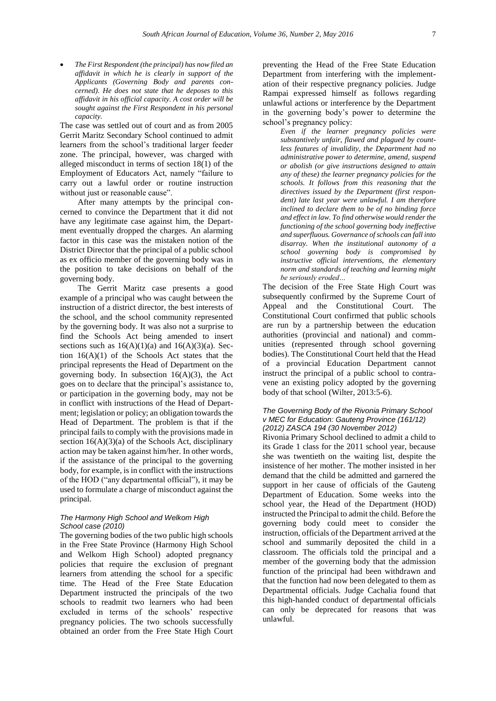*The First Respondent (the principal) has now filed an affidavit in which he is clearly in support of the Applicants (Governing Body and parents concerned). He does not state that he deposes to this affidavit in his official capacity. A cost order will be sought against the First Respondent in his personal capacity.*

The case was settled out of court and as from 2005 Gerrit Maritz Secondary School continued to admit learners from the school's traditional larger feeder zone. The principal, however, was charged with alleged misconduct in terms of section 18(1) of the Employment of Educators Act, namely "failure to carry out a lawful order or routine instruction without just or reasonable cause".

After many attempts by the principal concerned to convince the Department that it did not have any legitimate case against him, the Department eventually dropped the charges. An alarming factor in this case was the mistaken notion of the District Director that the principal of a public school as ex officio member of the governing body was in the position to take decisions on behalf of the governing body.

The Gerrit Maritz case presents a good example of a principal who was caught between the instruction of a district director, the best interests of the school, and the school community represented by the governing body. It was also not a surprise to find the Schools Act being amended to insert sections such as  $16(A)(1)(a)$  and  $16(A)(3)(a)$ . Section 16(A)(1) of the Schools Act states that the principal represents the Head of Department on the governing body. In subsection  $16(A)(3)$ , the Act goes on to declare that the principal's assistance to, or participation in the governing body, may not be in conflict with instructions of the Head of Department; legislation or policy; an obligation towards the Head of Department. The problem is that if the principal fails to comply with the provisions made in section  $16(A)(3)(a)$  of the Schools Act, disciplinary action may be taken against him/her. In other words, if the assistance of the principal to the governing body, for example, is in conflict with the instructions of the HOD ("any departmental official"), it may be used to formulate a charge of misconduct against the principal.

#### *The Harmony High School and Welkom High School case (2010)*

The governing bodies of the two public high schools in the Free State Province (Harmony High School and Welkom High School) adopted pregnancy policies that require the exclusion of pregnant learners from attending the school for a specific time. The Head of the Free State Education Department instructed the principals of the two schools to readmit two learners who had been excluded in terms of the schools' respective pregnancy policies. The two schools successfully obtained an order from the Free State High Court

preventing the Head of the Free State Education Department from interfering with the implementation of their respective pregnancy policies. Judge Rampai expressed himself as follows regarding unlawful actions or interference by the Department in the governing body's power to determine the school's pregnancy policy:

*Even if the learner pregnancy policies were substantively unfair, flawed and plagued by countless features of invalidity, the Department had no administrative power to determine, amend, suspend or abolish (or give instructions designed to attain any of these) the learner pregnancy policies for the schools. It follows from this reasoning that the directives issued by the Department (first respondent) late last year were unlawful. I am therefore inclined to declare them to be of no binding force and effect in law. To find otherwise would render the functioning of the school governing body ineffective and superfluous. Governance of schools can fall into disarray. When the institutional autonomy of a school governing body is compromised by instructive official interventions, the elementary norm and standards of teaching and learning might be seriously eroded…*

The decision of the Free State High Court was subsequently confirmed by the Supreme Court of Appeal and the Constitutional Court. The Constitutional Court confirmed that public schools are run by a partnership between the education authorities (provincial and national) and communities (represented through school governing bodies). The Constitutional Court held that the Head of a provincial Education Department cannot instruct the principal of a public school to contravene an existing policy adopted by the governing body of that school (Wilter, 2013:5-6).

#### *The Governing Body of the Rivonia Primary School v MEC for Education: Gauteng Province (161/12) (2012) ZASCA 194 (30 November 2012)*

Rivonia Primary School declined to admit a child to its Grade 1 class for the 2011 school year, because she was twentieth on the waiting list, despite the insistence of her mother. The mother insisted in her demand that the child be admitted and garnered the support in her cause of officials of the Gauteng Department of Education. Some weeks into the school year, the Head of the Department (HOD) instructed the Principal to admit the child. Before the governing body could meet to consider the instruction, officials of the Department arrived at the school and summarily deposited the child in a classroom. The officials told the principal and a member of the governing body that the admission function of the principal had been withdrawn and that the function had now been delegated to them as Departmental officials. Judge Cachalia found that this high-handed conduct of departmental officials can only be deprecated for reasons that was unlawful.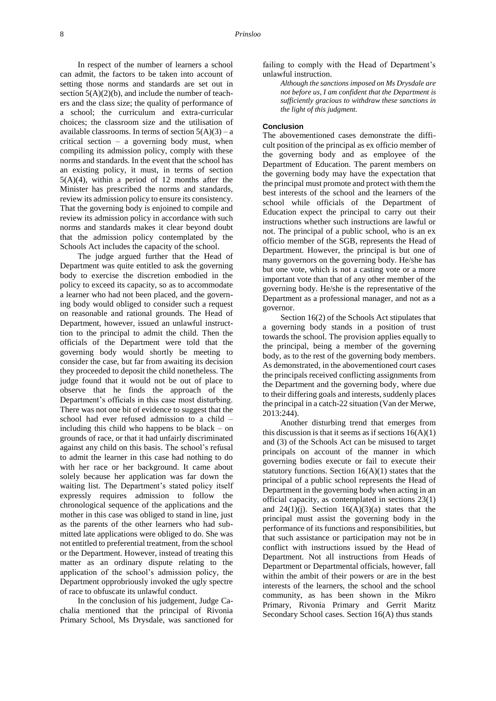In respect of the number of learners a school can admit, the factors to be taken into account of setting those norms and standards are set out in section  $5(A)(2)(b)$ , and include the number of teachers and the class size; the quality of performance of a school; the curriculum and extra-curricular choices; the classroom size and the utilisation of available classrooms. In terms of section  $5(A)(3) - a$ critical section – a governing body must, when compiling its admission policy, comply with these norms and standards. In the event that the school has an existing policy, it must, in terms of section 5(A)(4), within a period of 12 months after the Minister has prescribed the norms and standards, review its admission policy to ensure its consistency. That the governing body is enjoined to compile and review its admission policy in accordance with such norms and standards makes it clear beyond doubt that the admission policy contemplated by the Schools Act includes the capacity of the school.

The judge argued further that the Head of Department was quite entitled to ask the governing body to exercise the discretion embodied in the policy to exceed its capacity, so as to accommodate a learner who had not been placed, and the governing body would obliged to consider such a request on reasonable and rational grounds. The Head of Department, however, issued an unlawful instructtion to the principal to admit the child. Then the officials of the Department were told that the governing body would shortly be meeting to consider the case, but far from awaiting its decision they proceeded to deposit the child nonetheless. The judge found that it would not be out of place to observe that he finds the approach of the Department's officials in this case most disturbing. There was not one bit of evidence to suggest that the school had ever refused admission to a child – including this child who happens to be black – on grounds of race, or that it had unfairly discriminated against any child on this basis. The school's refusal to admit the learner in this case had nothing to do with her race or her background. It came about solely because her application was far down the waiting list. The Department's stated policy itself expressly requires admission to follow the chronological sequence of the applications and the mother in this case was obliged to stand in line, just as the parents of the other learners who had submitted late applications were obliged to do. She was not entitled to preferential treatment, from the school or the Department. However, instead of treating this matter as an ordinary dispute relating to the application of the school's admission policy, the Department opprobriously invoked the ugly spectre of race to obfuscate its unlawful conduct.

In the conclusion of his judgement, Judge Cachalia mentioned that the principal of Rivonia Primary School, Ms Drysdale, was sanctioned for failing to comply with the Head of Department's unlawful instruction.

*Although the sanctions imposed on Ms Drysdale are not before us, I am confident that the Department is sufficiently gracious to withdraw these sanctions in the light of this judgment.*

#### **Conclusion**

The abovementioned cases demonstrate the difficult position of the principal as ex officio member of the governing body and as employee of the Department of Education. The parent members on the governing body may have the expectation that the principal must promote and protect with them the best interests of the school and the learners of the school while officials of the Department of Education expect the principal to carry out their instructions whether such instructions are lawful or not. The principal of a public school, who is an ex officio member of the SGB, represents the Head of Department. However, the principal is but one of many governors on the governing body. He/she has but one vote, which is not a casting vote or a more important vote than that of any other member of the governing body. He/she is the representative of the Department as a professional manager, and not as a governor.

Section 16(2) of the Schools Act stipulates that a governing body stands in a position of trust towards the school. The provision applies equally to the principal, being a member of the governing body, as to the rest of the governing body members. As demonstrated, in the abovementioned court cases the principals received conflicting assignments from the Department and the governing body, where due to their differing goals and interests, suddenly places the principal in a catch-22 situation (Van der Merwe, 2013:244).

Another disturbing trend that emerges from this discussion is that it seems as if sections  $16(A)(1)$ and (3) of the Schools Act can be misused to target principals on account of the manner in which governing bodies execute or fail to execute their statutory functions. Section  $16(A)(1)$  states that the principal of a public school represents the Head of Department in the governing body when acting in an official capacity, as contemplated in sections 23(1) and  $24(1)(i)$ . Section  $16(A)(3)(a)$  states that the principal must assist the governing body in the performance of its functions and responsibilities, but that such assistance or participation may not be in conflict with instructions issued by the Head of Department. Not all instructions from Heads of Department or Departmental officials, however, fall within the ambit of their powers or are in the best interests of the learners, the school and the school community, as has been shown in the Mikro Primary, Rivonia Primary and Gerrit Maritz Secondary School cases. Section 16(A) thus stands